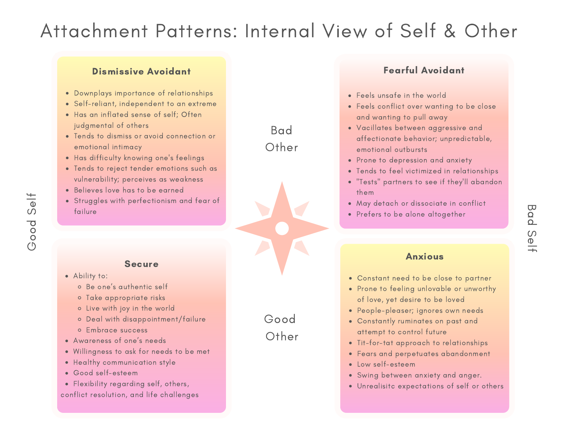# Attachment Patterns: Internal View of Self & Other

### Dismissive Avoidant

- Downplays importance of relationships
- Self-reliant, independent to an extreme
- Has an inflated sense of self; Often judgmental of others
- Tends to dismiss or avoid connection or emotional intimacy
- Has difficulty knowing one's feelings
- Tends to reject tender emotions such as vulnerability; perceives as weakness
- Believes love has to be earned
- Struggles with perfectionism and fear of failure

### Secure

- - Be one's authentic self
	- Take appropriate risks
	- Live with joy in the world
	- Deal with disappointment/failure
	- Embrace success
- Awareness of one's needs
- Willingness to ask for needs to be met
- Healthy communication style
- Good self-esteem
- Flexibility regarding self, others, conflict resolution, and life challenges

Fearful Avoidant

- Feels unsafe in the world
- Feels conflict over wanting to be close and wanting to pull away
- Vacillates between aggressive and affectionate behavior; unpredictable, emotional outbursts
- Prone to depression and anxiety
- Tends to feel victimized in relationships
- "Tests" partners to see if they'll abandon them
- May detach or dissociate in conflict
- Prefers to be alone altogether

#### Anxious

- Ability to: Anxious Constant need to be close to partner
	- Prone to feeling unlovable or unworthy of love, yet desire to be loved
	- People-pleaser; ignores own needs
	- Constantly ruminates on past and attempt to control future
	- Tit-for-tat approach to relationships
	- Fears and perpetuates abandonment
	- Low self-esteem
	- Swing between anxiety and anger.
	- Unrealisitc expectations of self or others

Bad Other

Good

**Other** 

oo